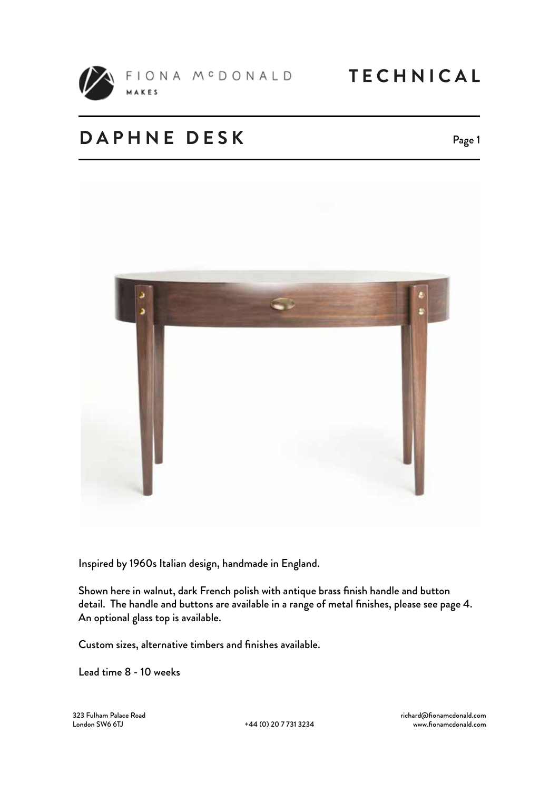

FIONA M<sup>C</sup>DONALD **TECHNICAL** MAKES

### **DAPHNE DESK**

Page 1



Inspired by 1960s Italian design, handmade in England.

Shown here in walnut, dark French polish with antique brass finish handle and button detail. The handle and buttons are available in a range of metal finishes, please see page 4. An optional glass top is available.

Custom sizes, alternative timbers and finishes available.

Lead time 8 - 10 weeks

323 Fulham Palace Road

+44 (0) 20 7 731 3234

richard@fionamcdonald.com www.fionamcdonald.com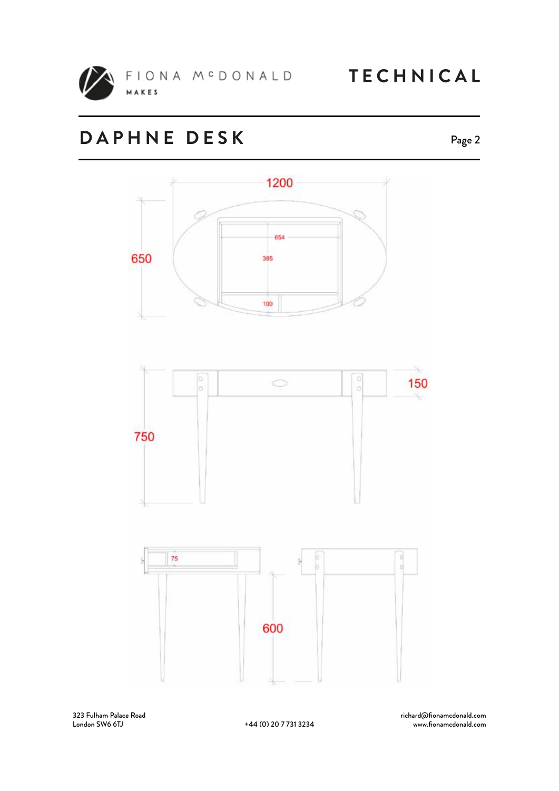

**TECHNICAL** 

# **DAPHNE DESK**





323 Fulham Palace Road

+44 (0) 20 7 731 3234

richard@fionamcdonald.com www.fionamcdonald.com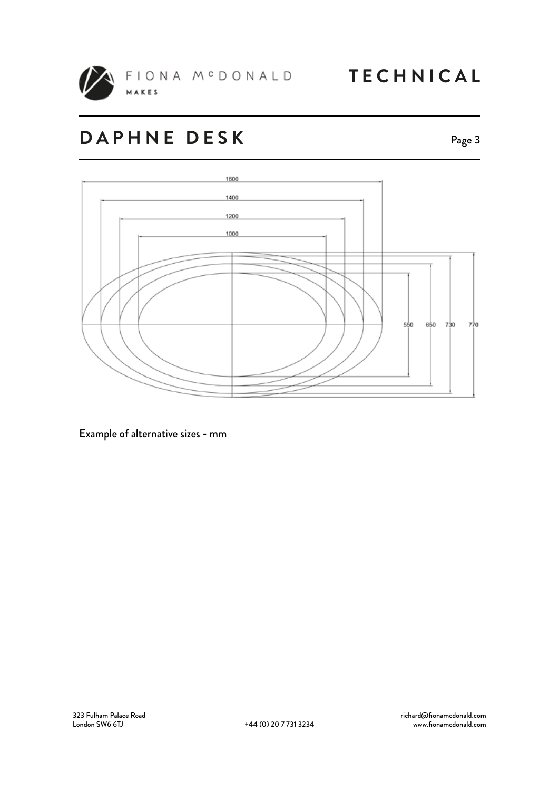

**TECHNICAL** 

# **DAPHNE DESK**

Page 3



Example of alternative sizes - mm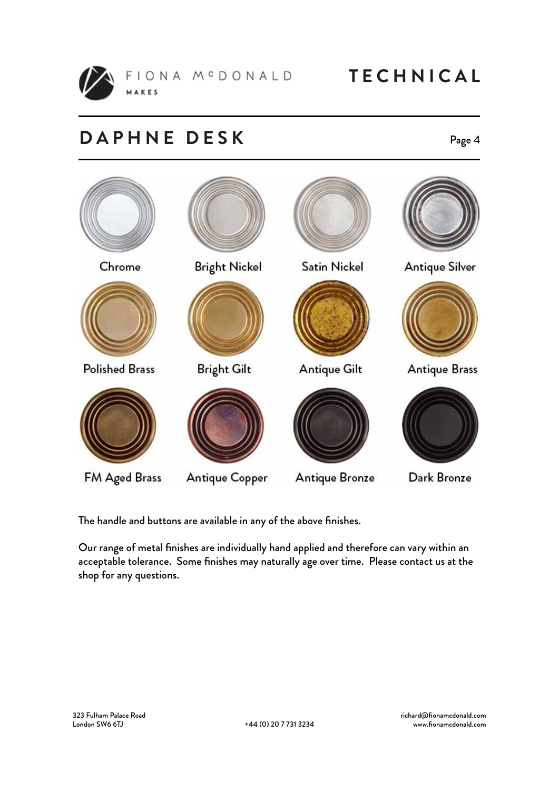

FIONA MCDONALD MAKES

### **DAPHNE DESK**

### Page 4



The handle and buttons are available in any of the above finishes.

Our range of metal finishes are individually hand applied and therefore can vary within an acceptable tolerance. Some finishes may naturally age over time. Please contact us at the shop for any questions.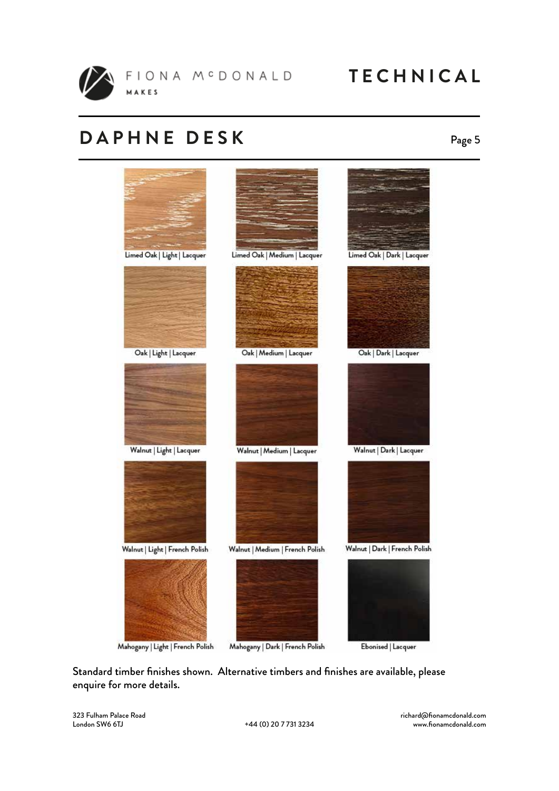

**TECHNICAL** 

### **DAPHNE DESK**

### Page 5



Standard timber finishes shown. Alternative timbers and finishes are available, please enquire for more details.

323 Fulham Palace Road

richard@fionamcdonald.com www.fionamcdonald.com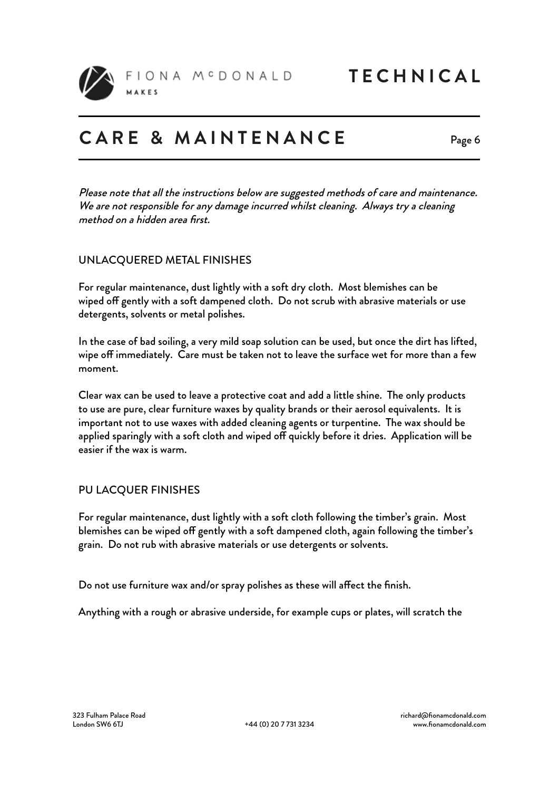

FIONA MCDONALD

### **CARE & MAINTENANCE**

Page 6

Please note that all the instructions below are suggested methods of care and maintenance. We are not responsible for any damage incurred whilst cleaning. Always try a cleaning method on a hidden area first.

### UNLACQUERED METAL FINISHES

For regular maintenance, dust lightly with a soft dry cloth. Most blemishes can be wiped off gently with a soft dampened cloth. Do not scrub with abrasive materials or use detergents, solvents or metal polishes.

In the case of bad soiling, a very mild soap solution can be used, but once the dirt has lifted, wipe off immediately. Care must be taken not to leave the surface wet for more than a few moment.

Clear wax can be used to leave a protective coat and add a little shine. The only products to use are pure, clear furniture waxes by quality brands or their aerosol equivalents. It is important not to use waxes with added cleaning agents or turpentine. The wax should be applied sparingly with a soft cloth and wiped off quickly before it dries. Application will be easier if the wax is warm.

#### PU LACQUER FINISHES

For regular maintenance, dust lightly with a soft cloth following the timber's grain. Most blemishes can be wiped off gently with a soft dampened cloth, again following the timber's grain. Do not rub with abrasive materials or use detergents or solvents.

Do not use furniture wax and/or spray polishes as these will affect the finish.

Anything with a rough or abrasive underside, for example cups or plates, will scratch the